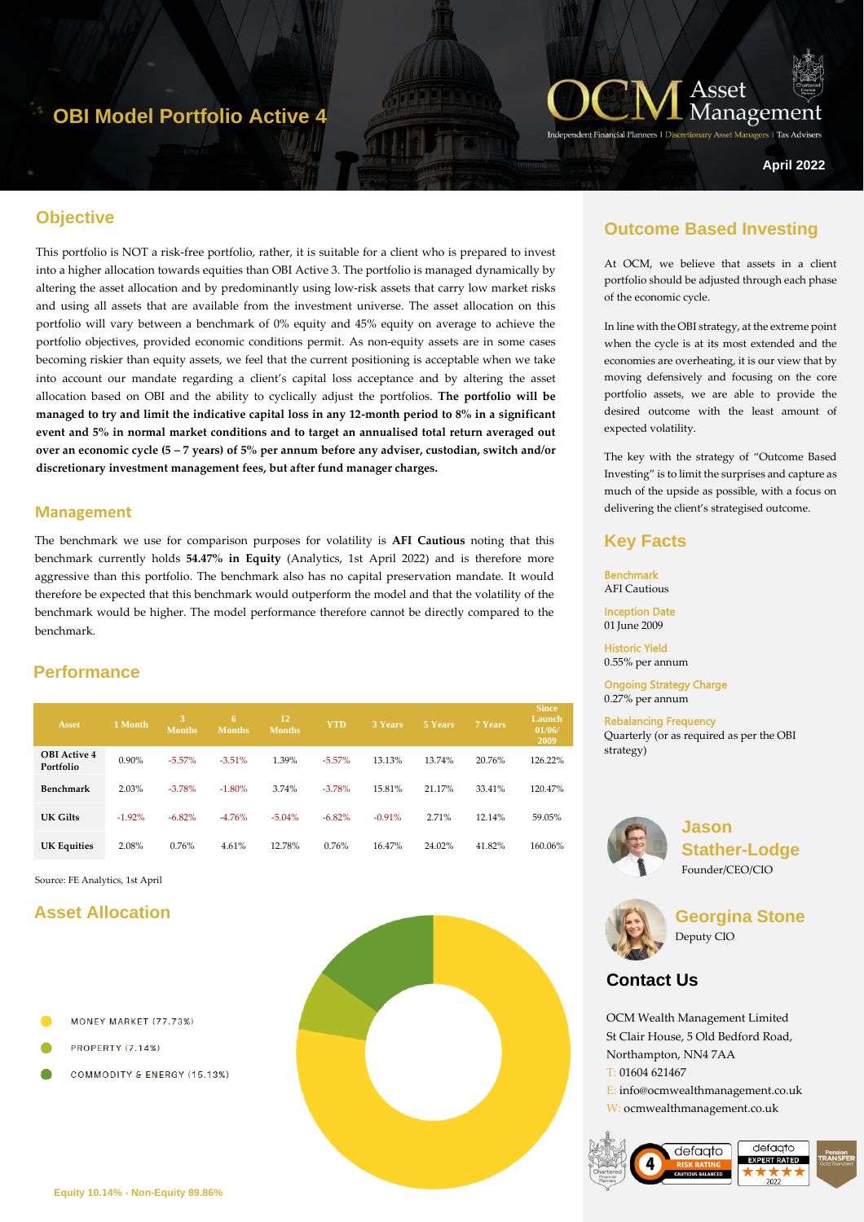# **OBI Model Portfolio Active 4**



**Managers** | Tax Advise

#### **April 2022**

# **Objective**

This portfolio is NOT a risk-free portfolio, rather, it is suitable for a client who is prepared to invest into a higher allocation towards equities than OBI Active 3. The portfolio is managed dynamically by altering the asset allocation and by predominantly using low-risk assets that carry low market risks and using all assets that are available from the investment universe. The asset allocation on this portfolio will vary between a benchmark of 0% equity and 45% equity on average to achieve the portfolio objectives, provided economic conditions permit. As non-equity assets are in some cases becoming riskier than equity assets, we feel that the current positioning is acceptable when we take into account our mandate regarding a client's capital loss acceptance and by altering the asset allocation based on OBI and the ability to cyclically adjust the portfolios. **The portfolio will be managed to try and limit the indicative capital loss in any 12-month period to 8% in a significant event and 5% in normal market conditions and to target an annualised total return averaged out over an economic cycle (5 – 7 years) of 5% per annum before any adviser, custodian, switch and/or discretionary investment management fees, but after fund manager charges.**

#### **Management**

The benchmark we use for comparison purposes for volatility is **AFI Cautious** noting that this benchmark currently holds **54.47% in Equity** (Analytics, 1st April 2022) and is therefore more aggressive than this portfolio. The benchmark also has no capital preservation mandate. It would therefore be expected that this benchmark would outperform the model and that the volatility of the benchmark would be higher. The model performance therefore cannot be directly compared to the benchmark.

### **Performance**

| Asset                            | 1 Month  | <b>Months</b> | 6<br><b>Months</b> | 12<br><b>Months</b> | <b>YTD</b> | 3 Years  | 5 Years | 7 Years | <b>Since</b><br>Launch<br>01/06/<br>2009 |
|----------------------------------|----------|---------------|--------------------|---------------------|------------|----------|---------|---------|------------------------------------------|
| <b>OBI</b> Active 4<br>Portfolio | 0.90%    | $-5.57\%$     | $-3.51%$           | 1.39%               | $-5.57\%$  | 13.13%   | 13.74%  | 20.76%  | 126.22%                                  |
| Benchmark                        | 2.03%    | $-3.78%$      | $-1.80%$           | 3.74%               | $-3.78%$   | 15.81%   | 21.17%  | 33.41%  | 120.47%                                  |
| UK Gilts                         | $-1.92%$ | $-6.82%$      | $-4.76%$           | $-5.04%$            | $-6.82%$   | $-0.91%$ | 2.71%   | 12.14%  | 59.05%                                   |
| <b>UK Equities</b>               | 2.08%    | 0.76%         | 4.61%              | 12.78%              | 0.76%      | 16.47%   | 24.02%  | 41.82%  | 160.06%                                  |

Source: FE Analytics, 1st April

### **Asset Allocation**

- MONEY MARKET (77.73%)
- **PROPERTY (7.14%)**
- COMMODITY & ENERGY (15.13%)



### **Outcome Based Investing**

At OCM, we believe that assets in a client portfolio should be adjusted through each phase of the economic cycle.

In line with the OBI strategy, at the extreme point when the cycle is at its most extended and the economies are overheating, it is our view that by moving defensively and focusing on the core portfolio assets, we are able to provide the desired outcome with the least amount of expected volatility.

The key with the strategy of "Outcome Based Investing" is to limit the surprises and capture as much of the upside as possible, with a focus on delivering the client's strategised outcome.

#### **Key Facts**

Benchmark AFI Cautious

Inception Date 01 June 2009

Historic Yield 0.55% per annum

Ongoing Strategy Charge 0.27% per annum

Rebalancing Frequency Quarterly (or as required as per the OBI strategy)



**Jason Stather-Lodge** Founder/CEO/CIO



**Georgina Stone** Deputy CIO

# **Contact Us**

OCM Wealth Management Limited St Clair House, 5 Old Bedford Road, Northampton, NN4 7AA T: 01604 621467 E: info@ocmwealthmanagement.co.uk W: ocmwealthmanagement.co.uk